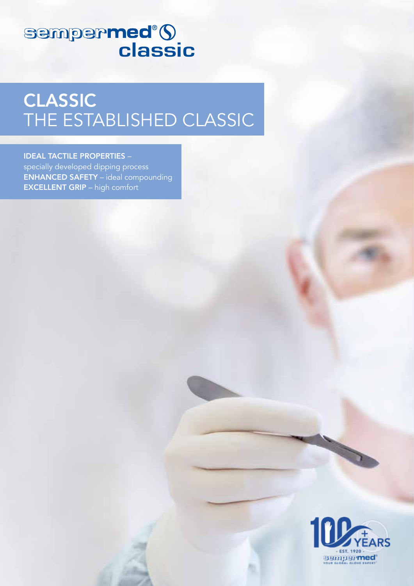# sempermed<sup>®</sup>()

## CLASSIC THE ESTABLISHED CLASSIC

#### IDEAL TACTILE PROPERTIES –

specially developed dipping process ENHANCED SAFETY – ideal compounding EXCELLENT GRIP – high comfort